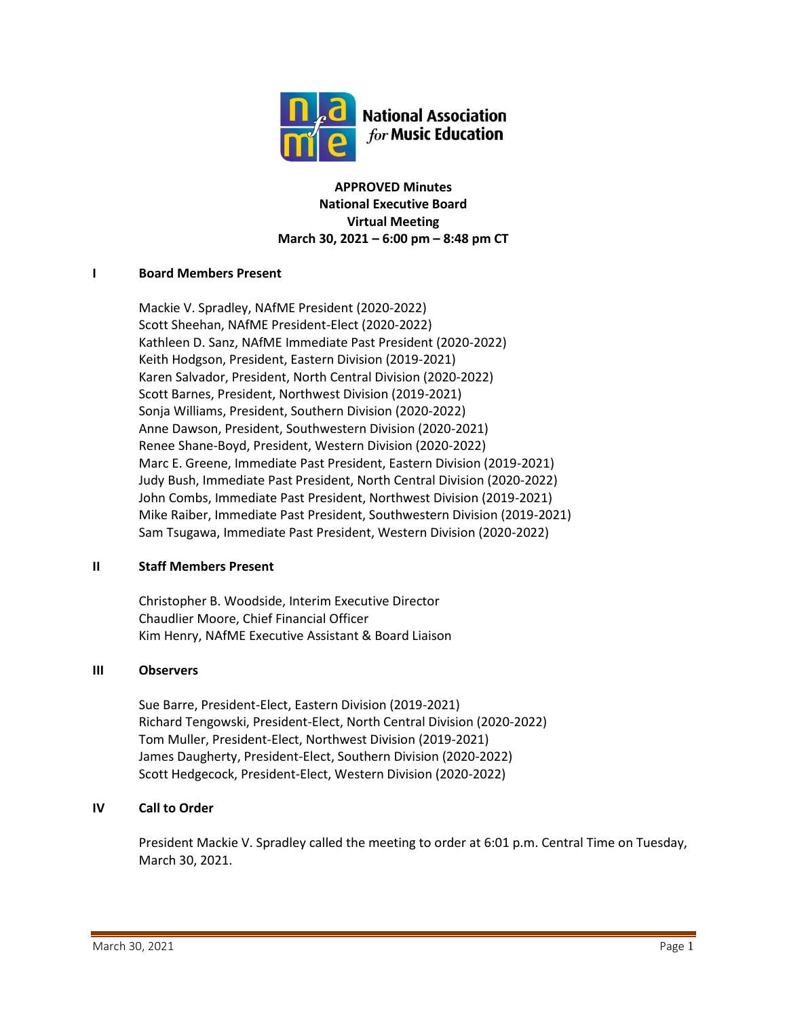

**APPROVED Minutes National Executive Board Virtual Meeting March 30, 2021 – 6:00 pm – 8:48 pm CT**

## **I Board Members Present**

Mackie V. Spradley, NAfME President (2020-2022) Scott Sheehan, NAfME President-Elect (2020-2022) Kathleen D. Sanz, NAfME Immediate Past President (2020-2022) Keith Hodgson, President, Eastern Division (2019-2021) Karen Salvador, President, North Central Division (2020-2022) Scott Barnes, President, Northwest Division (2019-2021) Sonja Williams, President, Southern Division (2020-2022) Anne Dawson, President, Southwestern Division (2020-2021) Renee Shane-Boyd, President, Western Division (2020-2022) Marc E. Greene, Immediate Past President, Eastern Division (2019-2021) Judy Bush, Immediate Past President, North Central Division (2020-2022) John Combs, Immediate Past President, Northwest Division (2019-2021) Mike Raiber, Immediate Past President, Southwestern Division (2019-2021) Sam Tsugawa, Immediate Past President, Western Division (2020-2022)

## **II Staff Members Present**

Christopher B. Woodside, Interim Executive Director Chaudlier Moore, Chief Financial Officer Kim Henry, NAfME Executive Assistant & Board Liaison

## **III Observers**

Sue Barre, President-Elect, Eastern Division (2019-2021) Richard Tengowski, President-Elect, North Central Division (2020-2022) Tom Muller, President-Elect, Northwest Division (2019-2021) James Daugherty, President-Elect, Southern Division (2020-2022) Scott Hedgecock, President-Elect, Western Division (2020-2022)

## **IV Call to Order**

President Mackie V. Spradley called the meeting to order at 6:01 p.m. Central Time on Tuesday, March 30, 2021.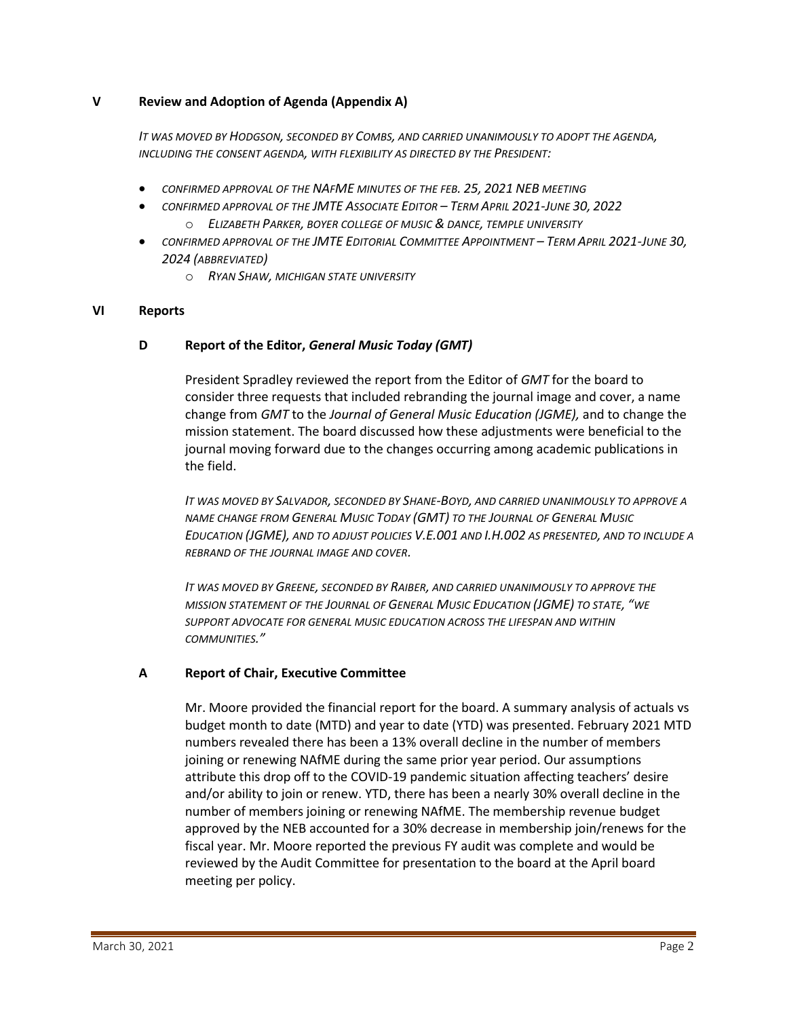## **V Review and Adoption of Agenda (Appendix A)**

*IT WAS MOVED BY HODGSON, SECONDED BY COMBS, AND CARRIED UNANIMOUSLY TO ADOPT THE AGENDA, INCLUDING THE CONSENT AGENDA, WITH FLEXIBILITY AS DIRECTED BY THE PRESIDENT:*

- *CONFIRMED APPROVAL OF THE NAFME MINUTES OF THE FEB. 25, 2021 NEB MEETING*
	- *CONFIRMED APPROVAL OF THE JMTE ASSOCIATE EDITOR – TERM APRIL 2021-JUNE 30, 2022* o *ELIZABETH PARKER, BOYER COLLEGE OF MUSIC & DANCE, TEMPLE UNIVERSITY*
- *CONFIRMED APPROVAL OF THE JMTE EDITORIAL COMMITTEE APPOINTMENT – TERM APRIL 2021-JUNE 30, 2024 (ABBREVIATED)*
	- o *RYAN SHAW, MICHIGAN STATE UNIVERSITY*

## **VI Reports**

## **D Report of the Editor,** *General Music Today (GMT)*

President Spradley reviewed the report from the Editor of *GMT* for the board to consider three requests that included rebranding the journal image and cover, a name change from *GMT* to the *Journal of General Music Education (JGME),* and to change the mission statement. The board discussed how these adjustments were beneficial to the journal moving forward due to the changes occurring among academic publications in the field.

*IT WAS MOVED BY SALVADOR, SECONDED BY SHANE-BOYD, AND CARRIED UNANIMOUSLY TO APPROVE A NAME CHANGE FROM GENERAL MUSIC TODAY (GMT) TO THE JOURNAL OF GENERAL MUSIC EDUCATION (JGME), AND TO ADJUST POLICIES V.E.001 AND I.H.002 AS PRESENTED, AND TO INCLUDE A REBRAND OF THE JOURNAL IMAGE AND COVER.*

*IT WAS MOVED BY GREENE, SECONDED BY RAIBER, AND CARRIED UNANIMOUSLY TO APPROVE THE MISSION STATEMENT OF THE JOURNAL OF GENERAL MUSIC EDUCATION (JGME) TO STATE, "WE SUPPORT ADVOCATE FOR GENERAL MUSIC EDUCATION ACROSS THE LIFESPAN AND WITHIN COMMUNITIES."*

## **A Report of Chair, Executive Committee**

Mr. Moore provided the financial report for the board. A summary analysis of actuals vs budget month to date (MTD) and year to date (YTD) was presented. February 2021 MTD numbers revealed there has been a 13% overall decline in the number of members joining or renewing NAfME during the same prior year period. Our assumptions attribute this drop off to the COVID-19 pandemic situation affecting teachers' desire and/or ability to join or renew. YTD, there has been a nearly 30% overall decline in the number of members joining or renewing NAfME. The membership revenue budget approved by the NEB accounted for a 30% decrease in membership join/renews for the fiscal year. Mr. Moore reported the previous FY audit was complete and would be reviewed by the Audit Committee for presentation to the board at the April board meeting per policy.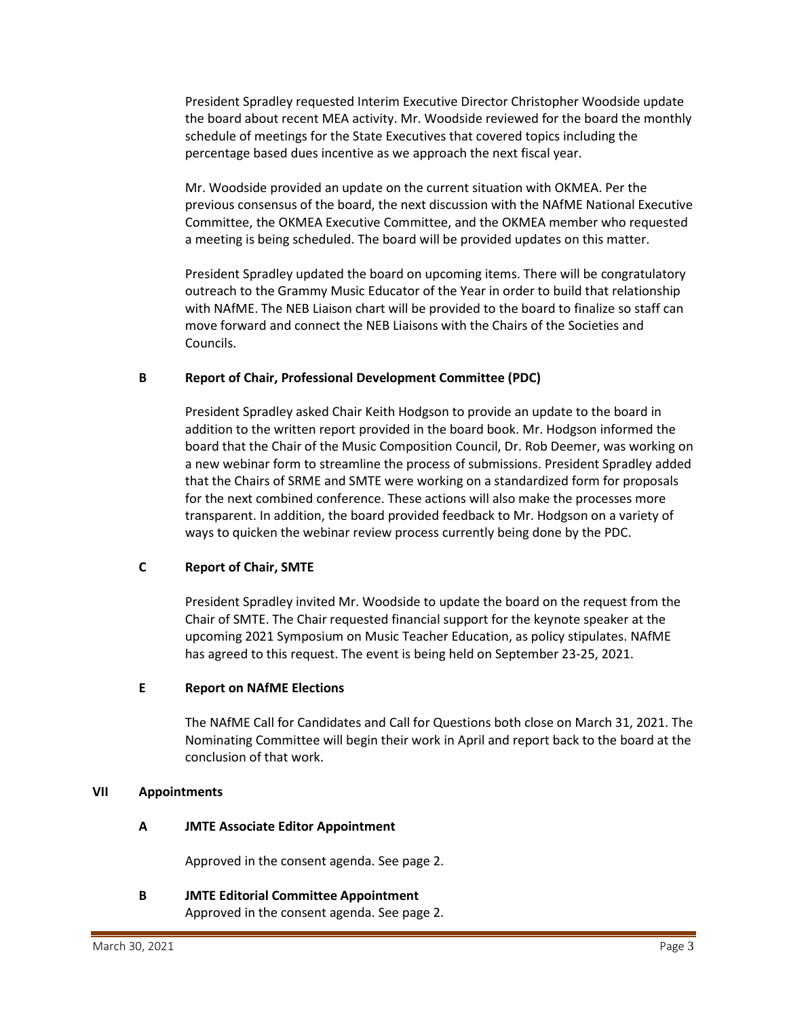President Spradley requested Interim Executive Director Christopher Woodside update the board about recent MEA activity. Mr. Woodside reviewed for the board the monthly schedule of meetings for the State Executives that covered topics including the percentage based dues incentive as we approach the next fiscal year.

Mr. Woodside provided an update on the current situation with OKMEA. Per the previous consensus of the board, the next discussion with the NAfME National Executive Committee, the OKMEA Executive Committee, and the OKMEA member who requested a meeting is being scheduled. The board will be provided updates on this matter.

President Spradley updated the board on upcoming items. There will be congratulatory outreach to the Grammy Music Educator of the Year in order to build that relationship with NAfME. The NEB Liaison chart will be provided to the board to finalize so staff can move forward and connect the NEB Liaisons with the Chairs of the Societies and Councils.

## **B Report of Chair, Professional Development Committee (PDC)**

President Spradley asked Chair Keith Hodgson to provide an update to the board in addition to the written report provided in the board book. Mr. Hodgson informed the board that the Chair of the Music Composition Council, Dr. Rob Deemer, was working on a new webinar form to streamline the process of submissions. President Spradley added that the Chairs of SRME and SMTE were working on a standardized form for proposals for the next combined conference. These actions will also make the processes more transparent. In addition, the board provided feedback to Mr. Hodgson on a variety of ways to quicken the webinar review process currently being done by the PDC.

## **C Report of Chair, SMTE**

President Spradley invited Mr. Woodside to update the board on the request from the Chair of SMTE. The Chair requested financial support for the keynote speaker at the upcoming 2021 Symposium on Music Teacher Education, as policy stipulates. NAfME has agreed to this request. The event is being held on September 23-25, 2021.

### **E Report on NAfME Elections**

The NAfME Call for Candidates and Call for Questions both close on March 31, 2021. The Nominating Committee will begin their work in April and report back to the board at the conclusion of that work.

#### **VII Appointments**

## **A JMTE Associate Editor Appointment**

Approved in the consent agenda. See page 2.

## **B JMTE Editorial Committee Appointment**

Approved in the consent agenda. See page 2.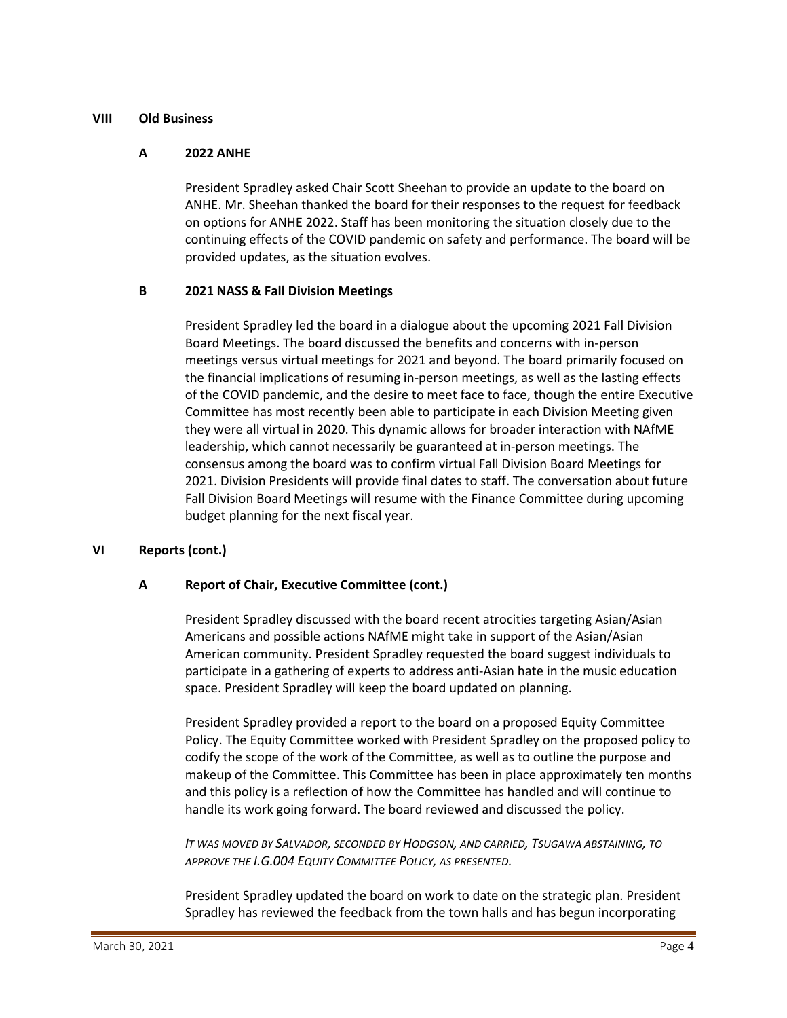### **VIII Old Business**

### **A 2022 ANHE**

President Spradley asked Chair Scott Sheehan to provide an update to the board on ANHE. Mr. Sheehan thanked the board for their responses to the request for feedback on options for ANHE 2022. Staff has been monitoring the situation closely due to the continuing effects of the COVID pandemic on safety and performance. The board will be provided updates, as the situation evolves.

## **B 2021 NASS & Fall Division Meetings**

President Spradley led the board in a dialogue about the upcoming 2021 Fall Division Board Meetings. The board discussed the benefits and concerns with in-person meetings versus virtual meetings for 2021 and beyond. The board primarily focused on the financial implications of resuming in-person meetings, as well as the lasting effects of the COVID pandemic, and the desire to meet face to face, though the entire Executive Committee has most recently been able to participate in each Division Meeting given they were all virtual in 2020. This dynamic allows for broader interaction with NAfME leadership, which cannot necessarily be guaranteed at in-person meetings. The consensus among the board was to confirm virtual Fall Division Board Meetings for 2021. Division Presidents will provide final dates to staff. The conversation about future Fall Division Board Meetings will resume with the Finance Committee during upcoming budget planning for the next fiscal year.

## **VI Reports (cont.)**

## **A Report of Chair, Executive Committee (cont.)**

President Spradley discussed with the board recent atrocities targeting Asian/Asian Americans and possible actions NAfME might take in support of the Asian/Asian American community. President Spradley requested the board suggest individuals to participate in a gathering of experts to address anti-Asian hate in the music education space. President Spradley will keep the board updated on planning.

President Spradley provided a report to the board on a proposed Equity Committee Policy. The Equity Committee worked with President Spradley on the proposed policy to codify the scope of the work of the Committee, as well as to outline the purpose and makeup of the Committee. This Committee has been in place approximately ten months and this policy is a reflection of how the Committee has handled and will continue to handle its work going forward. The board reviewed and discussed the policy.

*IT WAS MOVED BY SALVADOR, SECONDED BY HODGSON, AND CARRIED, TSUGAWA ABSTAINING, TO APPROVE THE I.G.004 EQUITY COMMITTEE POLICY, AS PRESENTED.*

President Spradley updated the board on work to date on the strategic plan. President Spradley has reviewed the feedback from the town halls and has begun incorporating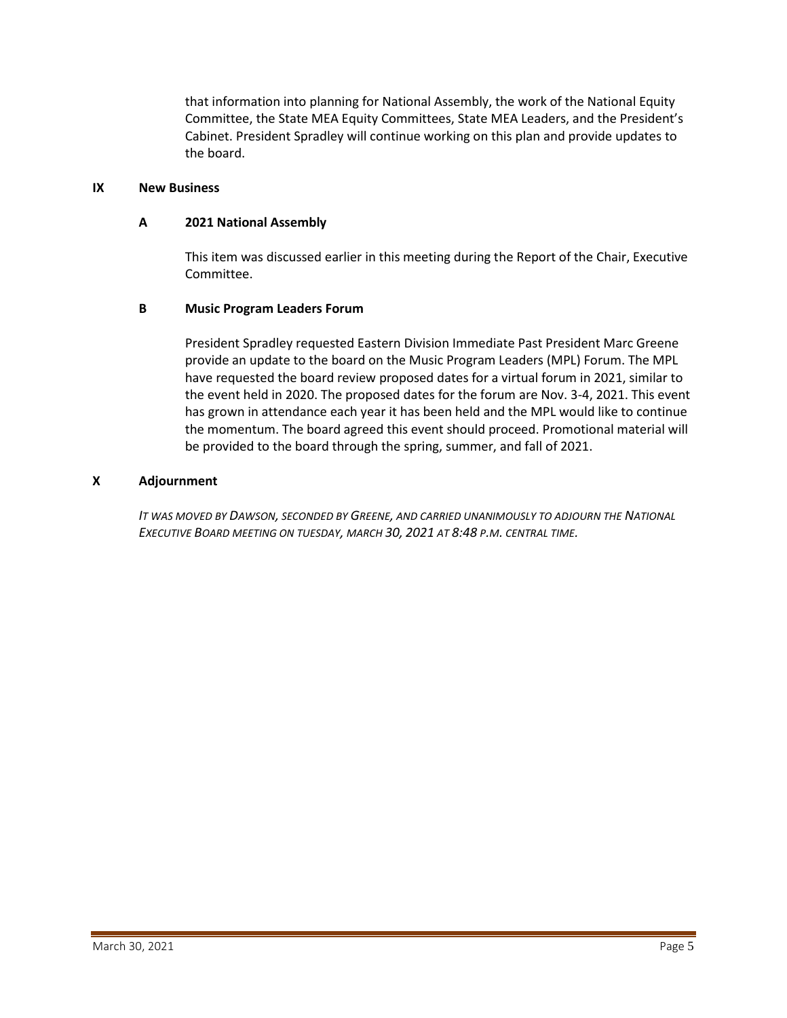that information into planning for National Assembly, the work of the National Equity Committee, the State MEA Equity Committees, State MEA Leaders, and the President's Cabinet. President Spradley will continue working on this plan and provide updates to the board.

## **IX New Business**

### **A 2021 National Assembly**

This item was discussed earlier in this meeting during the Report of the Chair, Executive Committee.

## **B Music Program Leaders Forum**

President Spradley requested Eastern Division Immediate Past President Marc Greene provide an update to the board on the Music Program Leaders (MPL) Forum. The MPL have requested the board review proposed dates for a virtual forum in 2021, similar to the event held in 2020. The proposed dates for the forum are Nov. 3-4, 2021. This event has grown in attendance each year it has been held and the MPL would like to continue the momentum. The board agreed this event should proceed. Promotional material will be provided to the board through the spring, summer, and fall of 2021.

### **X Adjournment**

*IT WAS MOVED BY DAWSON, SECONDED BY GREENE, AND CARRIED UNANIMOUSLY TO ADJOURN THE NATIONAL EXECUTIVE BOARD MEETING ON TUESDAY, MARCH 30, 2021 AT 8:48 P.M. CENTRAL TIME.*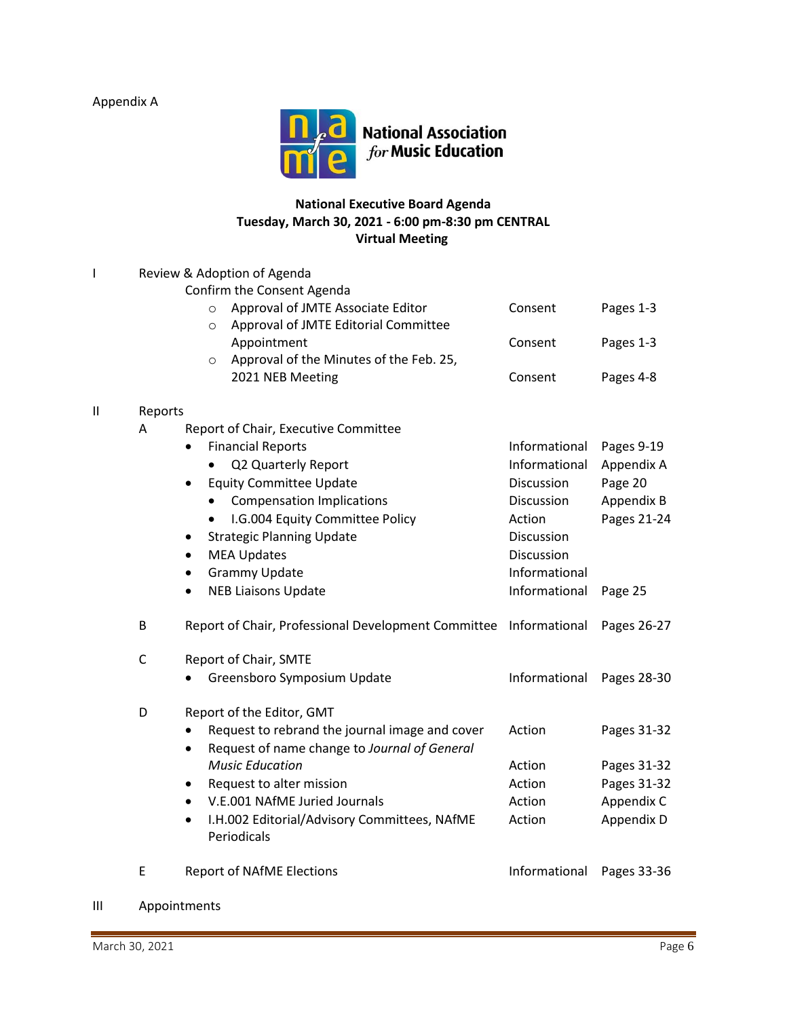Appendix A



# **National Executive Board Agenda Tuesday, March 30, 2021 - 6:00 pm-8:30 pm CENTRAL Virtual Meeting**

| I            | Review & Adoption of Agenda |                                                                                                                               |               |             |  |  |  |
|--------------|-----------------------------|-------------------------------------------------------------------------------------------------------------------------------|---------------|-------------|--|--|--|
|              |                             | Confirm the Consent Agenda<br>Approval of JMTE Associate Editor<br>$\circ$<br>Approval of JMTE Editorial Committee<br>$\circ$ | Consent       | Pages 1-3   |  |  |  |
|              |                             | Appointment                                                                                                                   | Consent       | Pages 1-3   |  |  |  |
|              |                             | Approval of the Minutes of the Feb. 25,<br>$\circ$                                                                            |               |             |  |  |  |
|              |                             | 2021 NEB Meeting                                                                                                              | Consent       | Pages 4-8   |  |  |  |
| $\mathbf{H}$ | Reports                     |                                                                                                                               |               |             |  |  |  |
|              | A                           | Report of Chair, Executive Committee                                                                                          |               |             |  |  |  |
|              |                             | <b>Financial Reports</b><br>$\bullet$                                                                                         | Informational | Pages 9-19  |  |  |  |
|              |                             | Q2 Quarterly Report                                                                                                           | Informational | Appendix A  |  |  |  |
|              |                             | <b>Equity Committee Update</b><br>$\bullet$                                                                                   | Discussion    | Page 20     |  |  |  |
|              |                             | <b>Compensation Implications</b><br>$\bullet$                                                                                 | Discussion    | Appendix B  |  |  |  |
|              |                             | I.G.004 Equity Committee Policy<br>$\bullet$                                                                                  | Action        | Pages 21-24 |  |  |  |
|              |                             | <b>Strategic Planning Update</b><br>$\bullet$                                                                                 | Discussion    |             |  |  |  |
|              |                             | <b>MEA Updates</b>                                                                                                            | Discussion    |             |  |  |  |
|              |                             | <b>Grammy Update</b><br>٠                                                                                                     | Informational |             |  |  |  |
|              |                             | <b>NEB Liaisons Update</b><br>$\bullet$                                                                                       | Informational | Page 25     |  |  |  |
|              | B                           | Report of Chair, Professional Development Committee Informational                                                             |               | Pages 26-27 |  |  |  |
|              | $\mathsf C$                 | Report of Chair, SMTE                                                                                                         |               |             |  |  |  |
|              |                             | Greensboro Symposium Update                                                                                                   | Informational | Pages 28-30 |  |  |  |
|              | D                           | Report of the Editor, GMT                                                                                                     |               |             |  |  |  |
|              |                             | Request to rebrand the journal image and cover                                                                                | Action        | Pages 31-32 |  |  |  |
|              |                             | Request of name change to Journal of General<br>$\bullet$                                                                     |               |             |  |  |  |
|              |                             | <b>Music Education</b>                                                                                                        | Action        | Pages 31-32 |  |  |  |
|              |                             | Request to alter mission<br>$\bullet$                                                                                         | Action        | Pages 31-32 |  |  |  |
|              |                             | V.E.001 NAfME Juried Journals<br>$\bullet$                                                                                    | Action        | Appendix C  |  |  |  |
|              |                             | I.H.002 Editorial/Advisory Committees, NAfME<br>$\bullet$<br>Periodicals                                                      | Action        | Appendix D  |  |  |  |
|              | Ε                           | <b>Report of NAfME Elections</b>                                                                                              | Informational | Pages 33-36 |  |  |  |
|              |                             |                                                                                                                               |               |             |  |  |  |

III Appointments